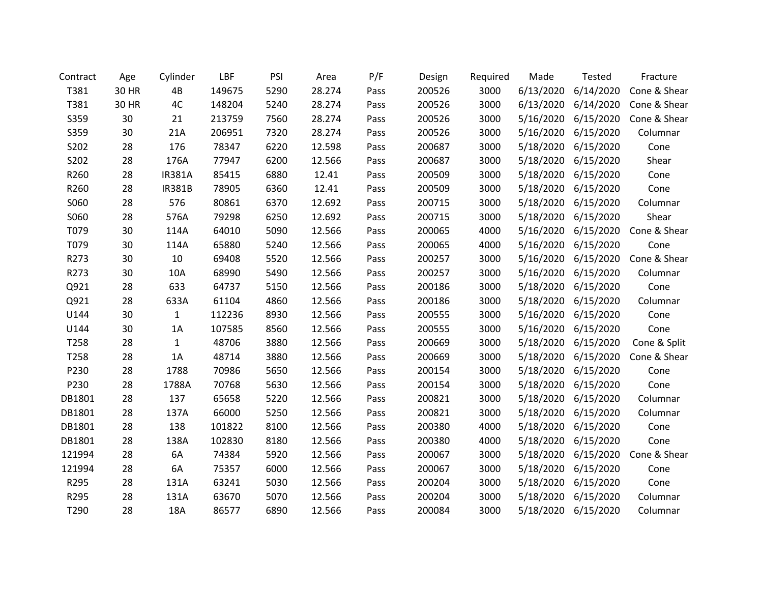| Contract | Age   | Cylinder      | LBF    | PSI  | Area   | P/F  | Design | Required | Made      | Tested              | Fracture     |
|----------|-------|---------------|--------|------|--------|------|--------|----------|-----------|---------------------|--------------|
| T381     | 30 HR | 4B            | 149675 | 5290 | 28.274 | Pass | 200526 | 3000     | 6/13/2020 | 6/14/2020           | Cone & Shear |
| T381     | 30 HR | 4C            | 148204 | 5240 | 28.274 | Pass | 200526 | 3000     | 6/13/2020 | 6/14/2020           | Cone & Shear |
| S359     | 30    | 21            | 213759 | 7560 | 28.274 | Pass | 200526 | 3000     | 5/16/2020 | 6/15/2020           | Cone & Shear |
| S359     | 30    | 21A           | 206951 | 7320 | 28.274 | Pass | 200526 | 3000     | 5/16/2020 | 6/15/2020           | Columnar     |
| S202     | 28    | 176           | 78347  | 6220 | 12.598 | Pass | 200687 | 3000     | 5/18/2020 | 6/15/2020           | Cone         |
| S202     | 28    | 176A          | 77947  | 6200 | 12.566 | Pass | 200687 | 3000     | 5/18/2020 | 6/15/2020           | Shear        |
| R260     | 28    | <b>IR381A</b> | 85415  | 6880 | 12.41  | Pass | 200509 | 3000     | 5/18/2020 | 6/15/2020           | Cone         |
| R260     | 28    | <b>IR381B</b> | 78905  | 6360 | 12.41  | Pass | 200509 | 3000     | 5/18/2020 | 6/15/2020           | Cone         |
| S060     | 28    | 576           | 80861  | 6370 | 12.692 | Pass | 200715 | 3000     | 5/18/2020 | 6/15/2020           | Columnar     |
| S060     | 28    | 576A          | 79298  | 6250 | 12.692 | Pass | 200715 | 3000     | 5/18/2020 | 6/15/2020           | Shear        |
| T079     | 30    | 114A          | 64010  | 5090 | 12.566 | Pass | 200065 | 4000     | 5/16/2020 | 6/15/2020           | Cone & Shear |
| T079     | 30    | 114A          | 65880  | 5240 | 12.566 | Pass | 200065 | 4000     | 5/16/2020 | 6/15/2020           | Cone         |
| R273     | 30    | 10            | 69408  | 5520 | 12.566 | Pass | 200257 | 3000     | 5/16/2020 | 6/15/2020           | Cone & Shear |
| R273     | 30    | 10A           | 68990  | 5490 | 12.566 | Pass | 200257 | 3000     | 5/16/2020 | 6/15/2020           | Columnar     |
| Q921     | 28    | 633           | 64737  | 5150 | 12.566 | Pass | 200186 | 3000     | 5/18/2020 | 6/15/2020           | Cone         |
| Q921     | 28    | 633A          | 61104  | 4860 | 12.566 | Pass | 200186 | 3000     | 5/18/2020 | 6/15/2020           | Columnar     |
| U144     | 30    | $\mathbf{1}$  | 112236 | 8930 | 12.566 | Pass | 200555 | 3000     | 5/16/2020 | 6/15/2020           | Cone         |
| U144     | 30    | 1A            | 107585 | 8560 | 12.566 | Pass | 200555 | 3000     | 5/16/2020 | 6/15/2020           | Cone         |
| T258     | 28    | $\mathbf{1}$  | 48706  | 3880 | 12.566 | Pass | 200669 | 3000     | 5/18/2020 | 6/15/2020           | Cone & Split |
| T258     | 28    | 1A            | 48714  | 3880 | 12.566 | Pass | 200669 | 3000     | 5/18/2020 | 6/15/2020           | Cone & Shear |
| P230     | 28    | 1788          | 70986  | 5650 | 12.566 | Pass | 200154 | 3000     | 5/18/2020 | 6/15/2020           | Cone         |
| P230     | 28    | 1788A         | 70768  | 5630 | 12.566 | Pass | 200154 | 3000     | 5/18/2020 | 6/15/2020           | Cone         |
| DB1801   | 28    | 137           | 65658  | 5220 | 12.566 | Pass | 200821 | 3000     | 5/18/2020 | 6/15/2020           | Columnar     |
| DB1801   | 28    | 137A          | 66000  | 5250 | 12.566 | Pass | 200821 | 3000     | 5/18/2020 | 6/15/2020           | Columnar     |
| DB1801   | 28    | 138           | 101822 | 8100 | 12.566 | Pass | 200380 | 4000     | 5/18/2020 | 6/15/2020           | Cone         |
| DB1801   | 28    | 138A          | 102830 | 8180 | 12.566 | Pass | 200380 | 4000     | 5/18/2020 | 6/15/2020           | Cone         |
| 121994   | 28    | 6A            | 74384  | 5920 | 12.566 | Pass | 200067 | 3000     | 5/18/2020 | 6/15/2020           | Cone & Shear |
| 121994   | 28    | 6A            | 75357  | 6000 | 12.566 | Pass | 200067 | 3000     | 5/18/2020 | 6/15/2020           | Cone         |
| R295     | 28    | 131A          | 63241  | 5030 | 12.566 | Pass | 200204 | 3000     | 5/18/2020 | 6/15/2020           | Cone         |
| R295     | 28    | 131A          | 63670  | 5070 | 12.566 | Pass | 200204 | 3000     | 5/18/2020 | 6/15/2020           | Columnar     |
| T290     | 28    | 18A           | 86577  | 6890 | 12.566 | Pass | 200084 | 3000     |           | 5/18/2020 6/15/2020 | Columnar     |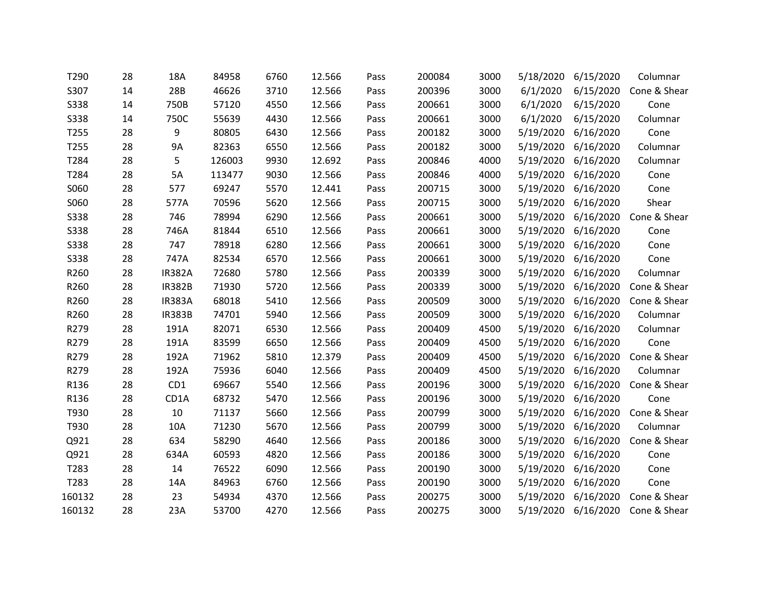| T290        | 28 | 18A           | 84958  | 6760 | 12.566 | Pass | 200084 | 3000 | 5/18/2020 | 6/15/2020 | Columnar               |
|-------------|----|---------------|--------|------|--------|------|--------|------|-----------|-----------|------------------------|
| S307        | 14 | 28B           | 46626  | 3710 | 12.566 | Pass | 200396 | 3000 | 6/1/2020  | 6/15/2020 | Cone & Shear           |
| <b>S338</b> | 14 | 750B          | 57120  | 4550 | 12.566 | Pass | 200661 | 3000 | 6/1/2020  | 6/15/2020 | Cone                   |
| <b>S338</b> | 14 | 750C          | 55639  | 4430 | 12.566 | Pass | 200661 | 3000 | 6/1/2020  | 6/15/2020 | Columnar               |
| T255        | 28 | 9             | 80805  | 6430 | 12.566 | Pass | 200182 | 3000 | 5/19/2020 | 6/16/2020 | Cone                   |
| T255        | 28 | <b>9A</b>     | 82363  | 6550 | 12.566 | Pass | 200182 | 3000 | 5/19/2020 | 6/16/2020 | Columnar               |
| T284        | 28 | 5             | 126003 | 9930 | 12.692 | Pass | 200846 | 4000 | 5/19/2020 | 6/16/2020 | Columnar               |
| T284        | 28 | 5A            | 113477 | 9030 | 12.566 | Pass | 200846 | 4000 | 5/19/2020 | 6/16/2020 | Cone                   |
| S060        | 28 | 577           | 69247  | 5570 | 12.441 | Pass | 200715 | 3000 | 5/19/2020 | 6/16/2020 | Cone                   |
| S060        | 28 | 577A          | 70596  | 5620 | 12.566 | Pass | 200715 | 3000 | 5/19/2020 | 6/16/2020 | Shear                  |
| <b>S338</b> | 28 | 746           | 78994  | 6290 | 12.566 | Pass | 200661 | 3000 | 5/19/2020 | 6/16/2020 | Cone & Shear           |
| <b>S338</b> | 28 | 746A          | 81844  | 6510 | 12.566 | Pass | 200661 | 3000 | 5/19/2020 | 6/16/2020 | Cone                   |
| <b>S338</b> | 28 | 747           | 78918  | 6280 | 12.566 | Pass | 200661 | 3000 | 5/19/2020 | 6/16/2020 | Cone                   |
| <b>S338</b> | 28 | 747A          | 82534  | 6570 | 12.566 | Pass | 200661 | 3000 | 5/19/2020 | 6/16/2020 | Cone                   |
| R260        | 28 | <b>IR382A</b> | 72680  | 5780 | 12.566 | Pass | 200339 | 3000 | 5/19/2020 | 6/16/2020 | Columnar               |
| R260        | 28 | <b>IR382B</b> | 71930  | 5720 | 12.566 | Pass | 200339 | 3000 | 5/19/2020 | 6/16/2020 | Cone & Shear           |
| R260        | 28 | <b>IR383A</b> | 68018  | 5410 | 12.566 | Pass | 200509 | 3000 | 5/19/2020 | 6/16/2020 | Cone & Shear           |
| R260        | 28 | <b>IR383B</b> | 74701  | 5940 | 12.566 | Pass | 200509 | 3000 | 5/19/2020 | 6/16/2020 | Columnar               |
| R279        | 28 | 191A          | 82071  | 6530 | 12.566 | Pass | 200409 | 4500 | 5/19/2020 | 6/16/2020 | Columnar               |
| R279        | 28 | 191A          | 83599  | 6650 | 12.566 | Pass | 200409 | 4500 | 5/19/2020 | 6/16/2020 | Cone                   |
| R279        | 28 | 192A          | 71962  | 5810 | 12.379 | Pass | 200409 | 4500 | 5/19/2020 | 6/16/2020 | Cone & Shear           |
| R279        | 28 | 192A          | 75936  | 6040 | 12.566 | Pass | 200409 | 4500 | 5/19/2020 | 6/16/2020 | Columnar               |
| R136        | 28 | CD1           | 69667  | 5540 | 12.566 | Pass | 200196 | 3000 | 5/19/2020 | 6/16/2020 | Cone & Shear           |
| R136        | 28 | CD1A          | 68732  | 5470 | 12.566 | Pass | 200196 | 3000 | 5/19/2020 | 6/16/2020 | Cone                   |
| T930        | 28 | 10            | 71137  | 5660 | 12.566 | Pass | 200799 | 3000 | 5/19/2020 | 6/16/2020 | Cone & Shear           |
| T930        | 28 | 10A           | 71230  | 5670 | 12.566 | Pass | 200799 | 3000 | 5/19/2020 | 6/16/2020 | Columnar               |
| Q921        | 28 | 634           | 58290  | 4640 | 12.566 | Pass | 200186 | 3000 | 5/19/2020 | 6/16/2020 | Cone & Shear           |
| Q921        | 28 | 634A          | 60593  | 4820 | 12.566 | Pass | 200186 | 3000 | 5/19/2020 | 6/16/2020 | Cone                   |
| T283        | 28 | 14            | 76522  | 6090 | 12.566 | Pass | 200190 | 3000 | 5/19/2020 | 6/16/2020 | Cone                   |
| T283        | 28 | 14A           | 84963  | 6760 | 12.566 | Pass | 200190 | 3000 | 5/19/2020 | 6/16/2020 | Cone                   |
| 160132      | 28 | 23            | 54934  | 4370 | 12.566 | Pass | 200275 | 3000 | 5/19/2020 | 6/16/2020 | Cone & Shear           |
| 160132      | 28 | 23A           | 53700  | 4270 | 12.566 | Pass | 200275 | 3000 | 5/19/2020 |           | 6/16/2020 Cone & Shear |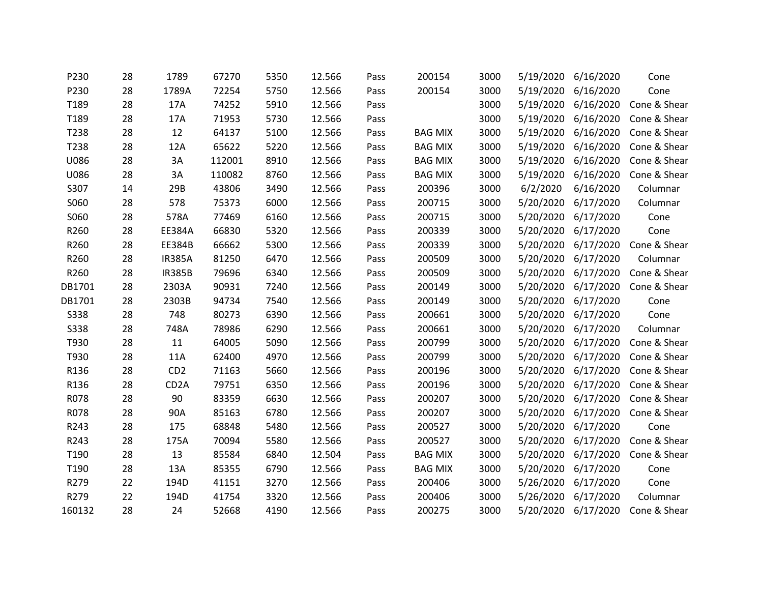| P230        | 28 | 1789              | 67270  | 5350 | 12.566 | Pass | 200154         | 3000 | 5/19/2020 | 6/16/2020 | Cone         |
|-------------|----|-------------------|--------|------|--------|------|----------------|------|-----------|-----------|--------------|
| P230        | 28 | 1789A             | 72254  | 5750 | 12.566 | Pass | 200154         | 3000 | 5/19/2020 | 6/16/2020 | Cone         |
| T189        | 28 | 17A               | 74252  | 5910 | 12.566 | Pass |                | 3000 | 5/19/2020 | 6/16/2020 | Cone & Shear |
| T189        | 28 | 17A               | 71953  | 5730 | 12.566 | Pass |                | 3000 | 5/19/2020 | 6/16/2020 | Cone & Shear |
| T238        | 28 | 12                | 64137  | 5100 | 12.566 | Pass | <b>BAG MIX</b> | 3000 | 5/19/2020 | 6/16/2020 | Cone & Shear |
| T238        | 28 | 12A               | 65622  | 5220 | 12.566 | Pass | <b>BAG MIX</b> | 3000 | 5/19/2020 | 6/16/2020 | Cone & Shear |
| U086        | 28 | 3A                | 112001 | 8910 | 12.566 | Pass | <b>BAG MIX</b> | 3000 | 5/19/2020 | 6/16/2020 | Cone & Shear |
| U086        | 28 | 3A                | 110082 | 8760 | 12.566 | Pass | <b>BAG MIX</b> | 3000 | 5/19/2020 | 6/16/2020 | Cone & Shear |
| S307        | 14 | 29B               | 43806  | 3490 | 12.566 | Pass | 200396         | 3000 | 6/2/2020  | 6/16/2020 | Columnar     |
| S060        | 28 | 578               | 75373  | 6000 | 12.566 | Pass | 200715         | 3000 | 5/20/2020 | 6/17/2020 | Columnar     |
| S060        | 28 | 578A              | 77469  | 6160 | 12.566 | Pass | 200715         | 3000 | 5/20/2020 | 6/17/2020 | Cone         |
| R260        | 28 | EE384A            | 66830  | 5320 | 12.566 | Pass | 200339         | 3000 | 5/20/2020 | 6/17/2020 | Cone         |
| R260        | 28 | EE384B            | 66662  | 5300 | 12.566 | Pass | 200339         | 3000 | 5/20/2020 | 6/17/2020 | Cone & Shear |
| R260        | 28 | <b>IR385A</b>     | 81250  | 6470 | 12.566 | Pass | 200509         | 3000 | 5/20/2020 | 6/17/2020 | Columnar     |
| R260        | 28 | <b>IR385B</b>     | 79696  | 6340 | 12.566 | Pass | 200509         | 3000 | 5/20/2020 | 6/17/2020 | Cone & Shear |
| DB1701      | 28 | 2303A             | 90931  | 7240 | 12.566 | Pass | 200149         | 3000 | 5/20/2020 | 6/17/2020 | Cone & Shear |
| DB1701      | 28 | 2303B             | 94734  | 7540 | 12.566 | Pass | 200149         | 3000 | 5/20/2020 | 6/17/2020 | Cone         |
| <b>S338</b> | 28 | 748               | 80273  | 6390 | 12.566 | Pass | 200661         | 3000 | 5/20/2020 | 6/17/2020 | Cone         |
| <b>S338</b> | 28 | 748A              | 78986  | 6290 | 12.566 | Pass | 200661         | 3000 | 5/20/2020 | 6/17/2020 | Columnar     |
| T930        | 28 | 11                | 64005  | 5090 | 12.566 | Pass | 200799         | 3000 | 5/20/2020 | 6/17/2020 | Cone & Shear |
| T930        | 28 | 11A               | 62400  | 4970 | 12.566 | Pass | 200799         | 3000 | 5/20/2020 | 6/17/2020 | Cone & Shear |
| R136        | 28 | CD <sub>2</sub>   | 71163  | 5660 | 12.566 | Pass | 200196         | 3000 | 5/20/2020 | 6/17/2020 | Cone & Shear |
| R136        | 28 | CD <sub>2</sub> A | 79751  | 6350 | 12.566 | Pass | 200196         | 3000 | 5/20/2020 | 6/17/2020 | Cone & Shear |
| R078        | 28 | 90                | 83359  | 6630 | 12.566 | Pass | 200207         | 3000 | 5/20/2020 | 6/17/2020 | Cone & Shear |
| R078        | 28 | 90A               | 85163  | 6780 | 12.566 | Pass | 200207         | 3000 | 5/20/2020 | 6/17/2020 | Cone & Shear |
| R243        | 28 | 175               | 68848  | 5480 | 12.566 | Pass | 200527         | 3000 | 5/20/2020 | 6/17/2020 | Cone         |
| R243        | 28 | 175A              | 70094  | 5580 | 12.566 | Pass | 200527         | 3000 | 5/20/2020 | 6/17/2020 | Cone & Shear |
| T190        | 28 | 13                | 85584  | 6840 | 12.504 | Pass | <b>BAG MIX</b> | 3000 | 5/20/2020 | 6/17/2020 | Cone & Shear |
| T190        | 28 | 13A               | 85355  | 6790 | 12.566 | Pass | <b>BAG MIX</b> | 3000 | 5/20/2020 | 6/17/2020 | Cone         |
| R279        | 22 | 194D              | 41151  | 3270 | 12.566 | Pass | 200406         | 3000 | 5/26/2020 | 6/17/2020 | Cone         |
| R279        | 22 | 194D              | 41754  | 3320 | 12.566 | Pass | 200406         | 3000 | 5/26/2020 | 6/17/2020 | Columnar     |
| 160132      | 28 | 24                | 52668  | 4190 | 12.566 | Pass | 200275         | 3000 | 5/20/2020 | 6/17/2020 | Cone & Shear |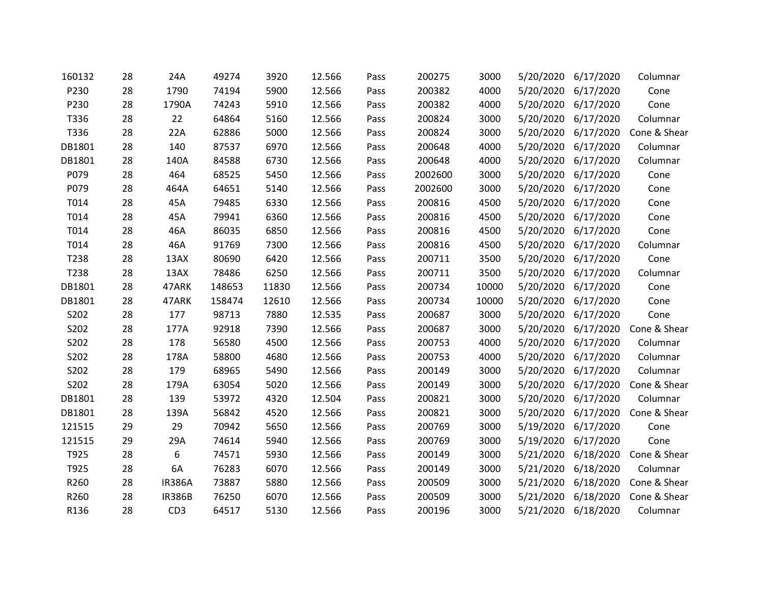| 160132 | 28 | 24A             | 49274  | 3920  | 12.566 | Pass | 200275  | 3000  | 5/20/2020 | 6/17/2020           | Columnar     |
|--------|----|-----------------|--------|-------|--------|------|---------|-------|-----------|---------------------|--------------|
| P230   | 28 | 1790            | 74194  | 5900  | 12.566 | Pass | 200382  | 4000  | 5/20/2020 | 6/17/2020           | Cone         |
| P230   | 28 | 1790A           | 74243  | 5910  | 12.566 | Pass | 200382  | 4000  | 5/20/2020 | 6/17/2020           | Cone         |
| T336   | 28 | 22              | 64864  | 5160  | 12.566 | Pass | 200824  | 3000  | 5/20/2020 | 6/17/2020           | Columnar     |
| T336   | 28 | 22A             | 62886  | 5000  | 12.566 | Pass | 200824  | 3000  | 5/20/2020 | 6/17/2020           | Cone & Shear |
| DB1801 | 28 | 140             | 87537  | 6970  | 12.566 | Pass | 200648  | 4000  | 5/20/2020 | 6/17/2020           | Columnar     |
| DB1801 | 28 | 140A            | 84588  | 6730  | 12.566 | Pass | 200648  | 4000  | 5/20/2020 | 6/17/2020           | Columnar     |
| P079   | 28 | 464             | 68525  | 5450  | 12.566 | Pass | 2002600 | 3000  | 5/20/2020 | 6/17/2020           | Cone         |
| P079   | 28 | 464A            | 64651  | 5140  | 12.566 | Pass | 2002600 | 3000  | 5/20/2020 | 6/17/2020           | Cone         |
| T014   | 28 | 45A             | 79485  | 6330  | 12.566 | Pass | 200816  | 4500  | 5/20/2020 | 6/17/2020           | Cone         |
| T014   | 28 | 45A             | 79941  | 6360  | 12.566 | Pass | 200816  | 4500  | 5/20/2020 | 6/17/2020           | Cone         |
| T014   | 28 | 46A             | 86035  | 6850  | 12.566 | Pass | 200816  | 4500  | 5/20/2020 | 6/17/2020           | Cone         |
| T014   | 28 | 46A             | 91769  | 7300  | 12.566 | Pass | 200816  | 4500  | 5/20/2020 | 6/17/2020           | Columnar     |
| T238   | 28 | 13AX            | 80690  | 6420  | 12.566 | Pass | 200711  | 3500  | 5/20/2020 | 6/17/2020           | Cone         |
| T238   | 28 | 13AX            | 78486  | 6250  | 12.566 | Pass | 200711  | 3500  | 5/20/2020 | 6/17/2020           | Columnar     |
| DB1801 | 28 | 47ARK           | 148653 | 11830 | 12.566 | Pass | 200734  | 10000 | 5/20/2020 | 6/17/2020           | Cone         |
| DB1801 | 28 | 47ARK           | 158474 | 12610 | 12.566 | Pass | 200734  | 10000 | 5/20/2020 | 6/17/2020           | Cone         |
| S202   | 28 | 177             | 98713  | 7880  | 12.535 | Pass | 200687  | 3000  | 5/20/2020 | 6/17/2020           | Cone         |
| S202   | 28 | 177A            | 92918  | 7390  | 12.566 | Pass | 200687  | 3000  | 5/20/2020 | 6/17/2020           | Cone & Shear |
| S202   | 28 | 178             | 56580  | 4500  | 12.566 | Pass | 200753  | 4000  | 5/20/2020 | 6/17/2020           | Columnar     |
| S202   | 28 | 178A            | 58800  | 4680  | 12.566 | Pass | 200753  | 4000  | 5/20/2020 | 6/17/2020           | Columnar     |
| S202   | 28 | 179             | 68965  | 5490  | 12.566 | Pass | 200149  | 3000  | 5/20/2020 | 6/17/2020           | Columnar     |
| S202   | 28 | 179A            | 63054  | 5020  | 12.566 | Pass | 200149  | 3000  | 5/20/2020 | 6/17/2020           | Cone & Shear |
| DB1801 | 28 | 139             | 53972  | 4320  | 12.504 | Pass | 200821  | 3000  | 5/20/2020 | 6/17/2020           | Columnar     |
| DB1801 | 28 | 139A            | 56842  | 4520  | 12.566 | Pass | 200821  | 3000  | 5/20/2020 | 6/17/2020           | Cone & Shear |
| 121515 | 29 | 29              | 70942  | 5650  | 12.566 | Pass | 200769  | 3000  |           | 5/19/2020 6/17/2020 | Cone         |
| 121515 | 29 | 29A             | 74614  | 5940  | 12.566 | Pass | 200769  | 3000  | 5/19/2020 | 6/17/2020           | Cone         |
| T925   | 28 | 6               | 74571  | 5930  | 12.566 | Pass | 200149  | 3000  | 5/21/2020 | 6/18/2020           | Cone & Shear |
| T925   | 28 | 6A              | 76283  | 6070  | 12.566 | Pass | 200149  | 3000  | 5/21/2020 | 6/18/2020           | Columnar     |
| R260   | 28 | <b>IR386A</b>   | 73887  | 5880  | 12.566 | Pass | 200509  | 3000  | 5/21/2020 | 6/18/2020           | Cone & Shear |
| R260   | 28 | <b>IR386B</b>   | 76250  | 6070  | 12.566 | Pass | 200509  | 3000  | 5/21/2020 | 6/18/2020           | Cone & Shear |
| R136   | 28 | CD <sub>3</sub> | 64517  | 5130  | 12.566 | Pass | 200196  | 3000  |           | 5/21/2020 6/18/2020 | Columnar     |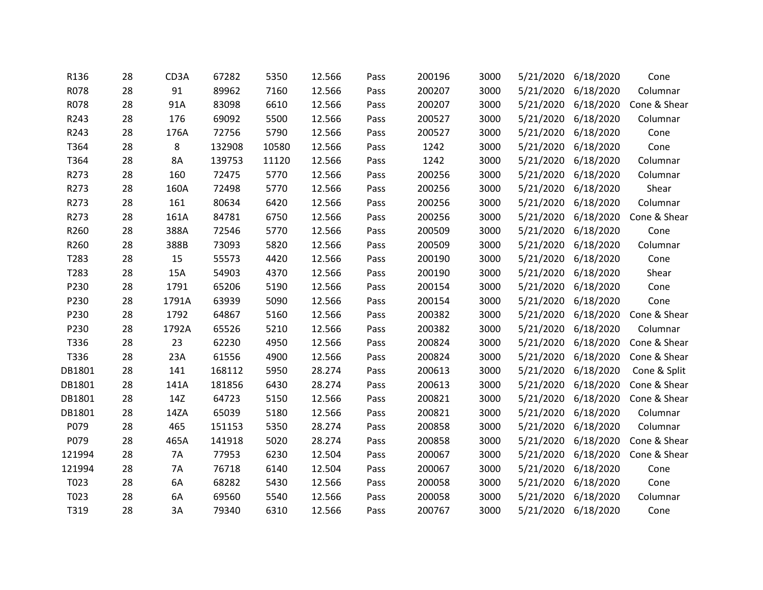| R136   | 28 | CD3A      | 67282  | 5350  | 12.566 | Pass | 200196 | 3000 | 5/21/2020 | 6/18/2020           | Cone         |
|--------|----|-----------|--------|-------|--------|------|--------|------|-----------|---------------------|--------------|
| R078   | 28 | 91        | 89962  | 7160  | 12.566 | Pass | 200207 | 3000 | 5/21/2020 | 6/18/2020           | Columnar     |
| R078   | 28 | 91A       | 83098  | 6610  | 12.566 | Pass | 200207 | 3000 |           | 5/21/2020 6/18/2020 | Cone & Shear |
| R243   | 28 | 176       | 69092  | 5500  | 12.566 | Pass | 200527 | 3000 | 5/21/2020 | 6/18/2020           | Columnar     |
| R243   | 28 | 176A      | 72756  | 5790  | 12.566 | Pass | 200527 | 3000 | 5/21/2020 | 6/18/2020           | Cone         |
| T364   | 28 | 8         | 132908 | 10580 | 12.566 | Pass | 1242   | 3000 | 5/21/2020 | 6/18/2020           | Cone         |
| T364   | 28 | <b>8A</b> | 139753 | 11120 | 12.566 | Pass | 1242   | 3000 | 5/21/2020 | 6/18/2020           | Columnar     |
| R273   | 28 | 160       | 72475  | 5770  | 12.566 | Pass | 200256 | 3000 | 5/21/2020 | 6/18/2020           | Columnar     |
| R273   | 28 | 160A      | 72498  | 5770  | 12.566 | Pass | 200256 | 3000 | 5/21/2020 | 6/18/2020           | Shear        |
| R273   | 28 | 161       | 80634  | 6420  | 12.566 | Pass | 200256 | 3000 | 5/21/2020 | 6/18/2020           | Columnar     |
| R273   | 28 | 161A      | 84781  | 6750  | 12.566 | Pass | 200256 | 3000 | 5/21/2020 | 6/18/2020           | Cone & Shear |
| R260   | 28 | 388A      | 72546  | 5770  | 12.566 | Pass | 200509 | 3000 | 5/21/2020 | 6/18/2020           | Cone         |
| R260   | 28 | 388B      | 73093  | 5820  | 12.566 | Pass | 200509 | 3000 | 5/21/2020 | 6/18/2020           | Columnar     |
| T283   | 28 | 15        | 55573  | 4420  | 12.566 | Pass | 200190 | 3000 | 5/21/2020 | 6/18/2020           | Cone         |
| T283   | 28 | 15A       | 54903  | 4370  | 12.566 | Pass | 200190 | 3000 | 5/21/2020 | 6/18/2020           | Shear        |
| P230   | 28 | 1791      | 65206  | 5190  | 12.566 | Pass | 200154 | 3000 | 5/21/2020 | 6/18/2020           | Cone         |
| P230   | 28 | 1791A     | 63939  | 5090  | 12.566 | Pass | 200154 | 3000 | 5/21/2020 | 6/18/2020           | Cone         |
| P230   | 28 | 1792      | 64867  | 5160  | 12.566 | Pass | 200382 | 3000 | 5/21/2020 | 6/18/2020           | Cone & Shear |
| P230   | 28 | 1792A     | 65526  | 5210  | 12.566 | Pass | 200382 | 3000 | 5/21/2020 | 6/18/2020           | Columnar     |
| T336   | 28 | 23        | 62230  | 4950  | 12.566 | Pass | 200824 | 3000 | 5/21/2020 | 6/18/2020           | Cone & Shear |
| T336   | 28 | 23A       | 61556  | 4900  | 12.566 | Pass | 200824 | 3000 | 5/21/2020 | 6/18/2020           | Cone & Shear |
| DB1801 | 28 | 141       | 168112 | 5950  | 28.274 | Pass | 200613 | 3000 | 5/21/2020 | 6/18/2020           | Cone & Split |
| DB1801 | 28 | 141A      | 181856 | 6430  | 28.274 | Pass | 200613 | 3000 | 5/21/2020 | 6/18/2020           | Cone & Shear |
| DB1801 | 28 | 14Z       | 64723  | 5150  | 12.566 | Pass | 200821 | 3000 | 5/21/2020 | 6/18/2020           | Cone & Shear |
| DB1801 | 28 | 14ZA      | 65039  | 5180  | 12.566 | Pass | 200821 | 3000 | 5/21/2020 | 6/18/2020           | Columnar     |
| P079   | 28 | 465       | 151153 | 5350  | 28.274 | Pass | 200858 | 3000 |           | 5/21/2020 6/18/2020 | Columnar     |
| P079   | 28 | 465A      | 141918 | 5020  | 28.274 | Pass | 200858 | 3000 | 5/21/2020 | 6/18/2020           | Cone & Shear |
| 121994 | 28 | 7A        | 77953  | 6230  | 12.504 | Pass | 200067 | 3000 | 5/21/2020 | 6/18/2020           | Cone & Shear |
| 121994 | 28 | 7A        | 76718  | 6140  | 12.504 | Pass | 200067 | 3000 | 5/21/2020 | 6/18/2020           | Cone         |
| T023   | 28 | 6A        | 68282  | 5430  | 12.566 | Pass | 200058 | 3000 | 5/21/2020 | 6/18/2020           | Cone         |
| T023   | 28 | 6A        | 69560  | 5540  | 12.566 | Pass | 200058 | 3000 | 5/21/2020 | 6/18/2020           | Columnar     |
| T319   | 28 | 3A        | 79340  | 6310  | 12.566 | Pass | 200767 | 3000 | 5/21/2020 | 6/18/2020           | Cone         |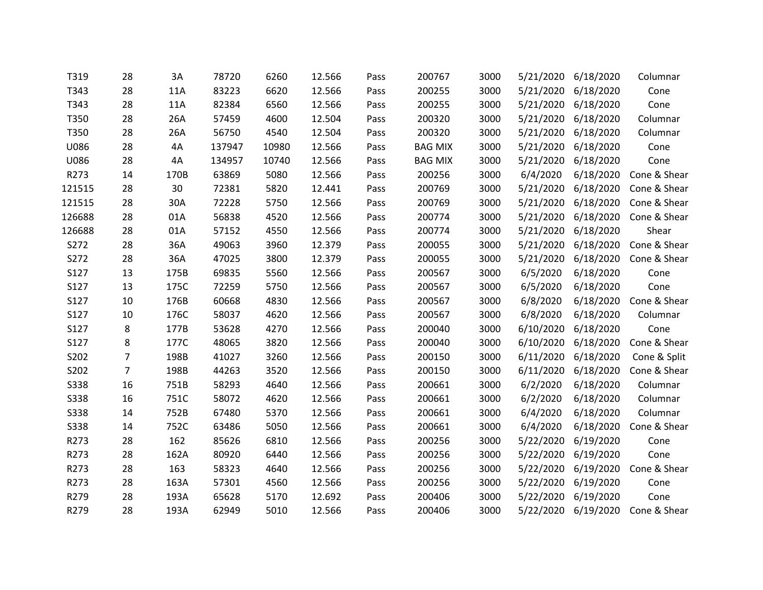| T319        | 28             | 3A   | 78720  | 6260  | 12.566 | Pass | 200767         | 3000 | 5/21/2020 | 6/18/2020 | Columnar               |
|-------------|----------------|------|--------|-------|--------|------|----------------|------|-----------|-----------|------------------------|
| T343        | 28             | 11A  | 83223  | 6620  | 12.566 | Pass | 200255         | 3000 | 5/21/2020 | 6/18/2020 | Cone                   |
| T343        | 28             | 11A  | 82384  | 6560  | 12.566 | Pass | 200255         | 3000 | 5/21/2020 | 6/18/2020 | Cone                   |
| T350        | 28             | 26A  | 57459  | 4600  | 12.504 | Pass | 200320         | 3000 | 5/21/2020 | 6/18/2020 | Columnar               |
| T350        | 28             | 26A  | 56750  | 4540  | 12.504 | Pass | 200320         | 3000 | 5/21/2020 | 6/18/2020 | Columnar               |
| U086        | 28             | 4A   | 137947 | 10980 | 12.566 | Pass | <b>BAG MIX</b> | 3000 | 5/21/2020 | 6/18/2020 | Cone                   |
| U086        | 28             | 4A   | 134957 | 10740 | 12.566 | Pass | <b>BAG MIX</b> | 3000 | 5/21/2020 | 6/18/2020 | Cone                   |
| R273        | 14             | 170B | 63869  | 5080  | 12.566 | Pass | 200256         | 3000 | 6/4/2020  | 6/18/2020 | Cone & Shear           |
| 121515      | 28             | 30   | 72381  | 5820  | 12.441 | Pass | 200769         | 3000 | 5/21/2020 | 6/18/2020 | Cone & Shear           |
| 121515      | 28             | 30A  | 72228  | 5750  | 12.566 | Pass | 200769         | 3000 | 5/21/2020 | 6/18/2020 | Cone & Shear           |
| 126688      | 28             | 01A  | 56838  | 4520  | 12.566 | Pass | 200774         | 3000 | 5/21/2020 | 6/18/2020 | Cone & Shear           |
| 126688      | 28             | 01A  | 57152  | 4550  | 12.566 | Pass | 200774         | 3000 | 5/21/2020 | 6/18/2020 | Shear                  |
| S272        | 28             | 36A  | 49063  | 3960  | 12.379 | Pass | 200055         | 3000 | 5/21/2020 | 6/18/2020 | Cone & Shear           |
| S272        | 28             | 36A  | 47025  | 3800  | 12.379 | Pass | 200055         | 3000 | 5/21/2020 | 6/18/2020 | Cone & Shear           |
| S127        | 13             | 175B | 69835  | 5560  | 12.566 | Pass | 200567         | 3000 | 6/5/2020  | 6/18/2020 | Cone                   |
| S127        | 13             | 175C | 72259  | 5750  | 12.566 | Pass | 200567         | 3000 | 6/5/2020  | 6/18/2020 | Cone                   |
| S127        | 10             | 176B | 60668  | 4830  | 12.566 | Pass | 200567         | 3000 | 6/8/2020  | 6/18/2020 | Cone & Shear           |
| S127        | 10             | 176C | 58037  | 4620  | 12.566 | Pass | 200567         | 3000 | 6/8/2020  | 6/18/2020 | Columnar               |
| S127        | 8              | 177B | 53628  | 4270  | 12.566 | Pass | 200040         | 3000 | 6/10/2020 | 6/18/2020 | Cone                   |
| S127        | 8              | 177C | 48065  | 3820  | 12.566 | Pass | 200040         | 3000 | 6/10/2020 | 6/18/2020 | Cone & Shear           |
| S202        | $\overline{7}$ | 198B | 41027  | 3260  | 12.566 | Pass | 200150         | 3000 | 6/11/2020 | 6/18/2020 | Cone & Split           |
| S202        | $\overline{7}$ | 198B | 44263  | 3520  | 12.566 | Pass | 200150         | 3000 | 6/11/2020 | 6/18/2020 | Cone & Shear           |
| <b>S338</b> | 16             | 751B | 58293  | 4640  | 12.566 | Pass | 200661         | 3000 | 6/2/2020  | 6/18/2020 | Columnar               |
| <b>S338</b> | 16             | 751C | 58072  | 4620  | 12.566 | Pass | 200661         | 3000 | 6/2/2020  | 6/18/2020 | Columnar               |
| <b>S338</b> | 14             | 752B | 67480  | 5370  | 12.566 | Pass | 200661         | 3000 | 6/4/2020  | 6/18/2020 | Columnar               |
| <b>S338</b> | 14             | 752C | 63486  | 5050  | 12.566 | Pass | 200661         | 3000 | 6/4/2020  | 6/18/2020 | Cone & Shear           |
| R273        | 28             | 162  | 85626  | 6810  | 12.566 | Pass | 200256         | 3000 | 5/22/2020 | 6/19/2020 | Cone                   |
| R273        | 28             | 162A | 80920  | 6440  | 12.566 | Pass | 200256         | 3000 | 5/22/2020 | 6/19/2020 | Cone                   |
| R273        | 28             | 163  | 58323  | 4640  | 12.566 | Pass | 200256         | 3000 | 5/22/2020 | 6/19/2020 | Cone & Shear           |
| R273        | 28             | 163A | 57301  | 4560  | 12.566 | Pass | 200256         | 3000 | 5/22/2020 | 6/19/2020 | Cone                   |
| R279        | 28             | 193A | 65628  | 5170  | 12.692 | Pass | 200406         | 3000 | 5/22/2020 | 6/19/2020 | Cone                   |
| R279        | 28             | 193A | 62949  | 5010  | 12.566 | Pass | 200406         | 3000 | 5/22/2020 |           | 6/19/2020 Cone & Shear |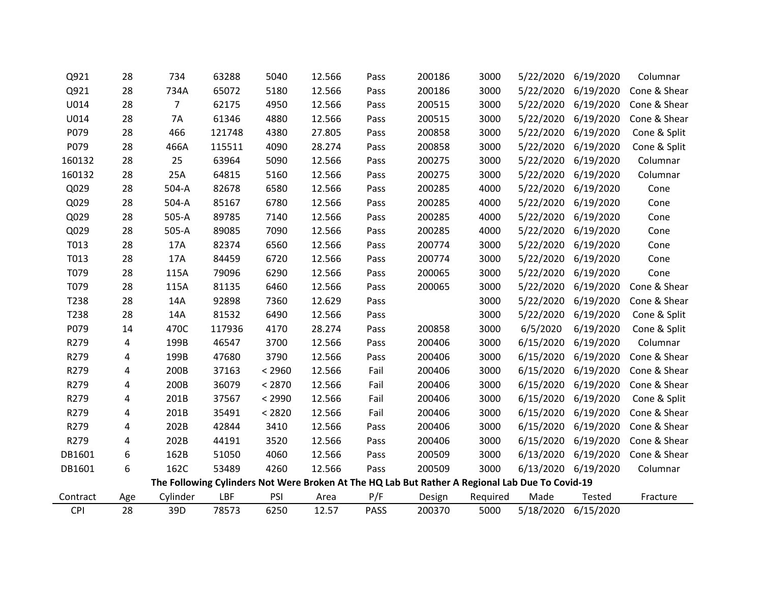| Q921     | 28  | 734            | 63288  | 5040   | 12.566 | Pass        | 200186                                                                                          | 3000     | 5/22/2020 | 6/19/2020           | Columnar     |
|----------|-----|----------------|--------|--------|--------|-------------|-------------------------------------------------------------------------------------------------|----------|-----------|---------------------|--------------|
| Q921     | 28  | 734A           | 65072  | 5180   | 12.566 | Pass        | 200186                                                                                          | 3000     | 5/22/2020 | 6/19/2020           | Cone & Shear |
| U014     | 28  | $\overline{7}$ | 62175  | 4950   | 12.566 | Pass        | 200515                                                                                          | 3000     | 5/22/2020 | 6/19/2020           | Cone & Shear |
| U014     | 28  | <b>7A</b>      | 61346  | 4880   | 12.566 | Pass        | 200515                                                                                          | 3000     | 5/22/2020 | 6/19/2020           | Cone & Shear |
| P079     | 28  | 466            | 121748 | 4380   | 27.805 | Pass        | 200858                                                                                          | 3000     | 5/22/2020 | 6/19/2020           | Cone & Split |
| P079     | 28  | 466A           | 115511 | 4090   | 28.274 | Pass        | 200858                                                                                          | 3000     | 5/22/2020 | 6/19/2020           | Cone & Split |
| 160132   | 28  | 25             | 63964  | 5090   | 12.566 | Pass        | 200275                                                                                          | 3000     | 5/22/2020 | 6/19/2020           | Columnar     |
| 160132   | 28  | 25A            | 64815  | 5160   | 12.566 | Pass        | 200275                                                                                          | 3000     | 5/22/2020 | 6/19/2020           | Columnar     |
| Q029     | 28  | 504-A          | 82678  | 6580   | 12.566 | Pass        | 200285                                                                                          | 4000     | 5/22/2020 | 6/19/2020           | Cone         |
| Q029     | 28  | 504-A          | 85167  | 6780   | 12.566 | Pass        | 200285                                                                                          | 4000     | 5/22/2020 | 6/19/2020           | Cone         |
| Q029     | 28  | 505-A          | 89785  | 7140   | 12.566 | Pass        | 200285                                                                                          | 4000     | 5/22/2020 | 6/19/2020           | Cone         |
| Q029     | 28  | 505-A          | 89085  | 7090   | 12.566 | Pass        | 200285                                                                                          | 4000     | 5/22/2020 | 6/19/2020           | Cone         |
| T013     | 28  | 17A            | 82374  | 6560   | 12.566 | Pass        | 200774                                                                                          | 3000     | 5/22/2020 | 6/19/2020           | Cone         |
| T013     | 28  | 17A            | 84459  | 6720   | 12.566 | Pass        | 200774                                                                                          | 3000     | 5/22/2020 | 6/19/2020           | Cone         |
| T079     | 28  | 115A           | 79096  | 6290   | 12.566 | Pass        | 200065                                                                                          | 3000     | 5/22/2020 | 6/19/2020           | Cone         |
| T079     | 28  | 115A           | 81135  | 6460   | 12.566 | Pass        | 200065                                                                                          | 3000     | 5/22/2020 | 6/19/2020           | Cone & Shear |
| T238     | 28  | 14A            | 92898  | 7360   | 12.629 | Pass        |                                                                                                 | 3000     | 5/22/2020 | 6/19/2020           | Cone & Shear |
| T238     | 28  | 14A            | 81532  | 6490   | 12.566 | Pass        |                                                                                                 | 3000     | 5/22/2020 | 6/19/2020           | Cone & Split |
| P079     | 14  | 470C           | 117936 | 4170   | 28.274 | Pass        | 200858                                                                                          | 3000     | 6/5/2020  | 6/19/2020           | Cone & Split |
| R279     | 4   | 199B           | 46547  | 3700   | 12.566 | Pass        | 200406                                                                                          | 3000     | 6/15/2020 | 6/19/2020           | Columnar     |
| R279     | 4   | 199B           | 47680  | 3790   | 12.566 | Pass        | 200406                                                                                          | 3000     | 6/15/2020 | 6/19/2020           | Cone & Shear |
| R279     | 4   | 200B           | 37163  | < 2960 | 12.566 | Fail        | 200406                                                                                          | 3000     | 6/15/2020 | 6/19/2020           | Cone & Shear |
| R279     | 4   | 200B           | 36079  | < 2870 | 12.566 | Fail        | 200406                                                                                          | 3000     | 6/15/2020 | 6/19/2020           | Cone & Shear |
| R279     | 4   | 201B           | 37567  | < 2990 | 12.566 | Fail        | 200406                                                                                          | 3000     | 6/15/2020 | 6/19/2020           | Cone & Split |
| R279     | 4   | 201B           | 35491  | < 2820 | 12.566 | Fail        | 200406                                                                                          | 3000     | 6/15/2020 | 6/19/2020           | Cone & Shear |
| R279     | 4   | 202B           | 42844  | 3410   | 12.566 | Pass        | 200406                                                                                          | 3000     | 6/15/2020 | 6/19/2020           | Cone & Shear |
| R279     | 4   | 202B           | 44191  | 3520   | 12.566 | Pass        | 200406                                                                                          | 3000     | 6/15/2020 | 6/19/2020           | Cone & Shear |
| DB1601   | 6   | 162B           | 51050  | 4060   | 12.566 | Pass        | 200509                                                                                          | 3000     | 6/13/2020 | 6/19/2020           | Cone & Shear |
| DB1601   | 6   | 162C           | 53489  | 4260   | 12.566 | Pass        | 200509                                                                                          | 3000     | 6/13/2020 | 6/19/2020           | Columnar     |
|          |     |                |        |        |        |             | The Following Cylinders Not Were Broken At The HQ Lab But Rather A Regional Lab Due To Covid-19 |          |           |                     |              |
| Contract | Age | Cylinder       | LBF    | PSI    | Area   | P/F         | Design                                                                                          | Required | Made      | <b>Tested</b>       | Fracture     |
| CPI      | 28  | 39D            | 78573  | 6250   | 12.57  | <b>PASS</b> | 200370                                                                                          | 5000     |           | 5/18/2020 6/15/2020 |              |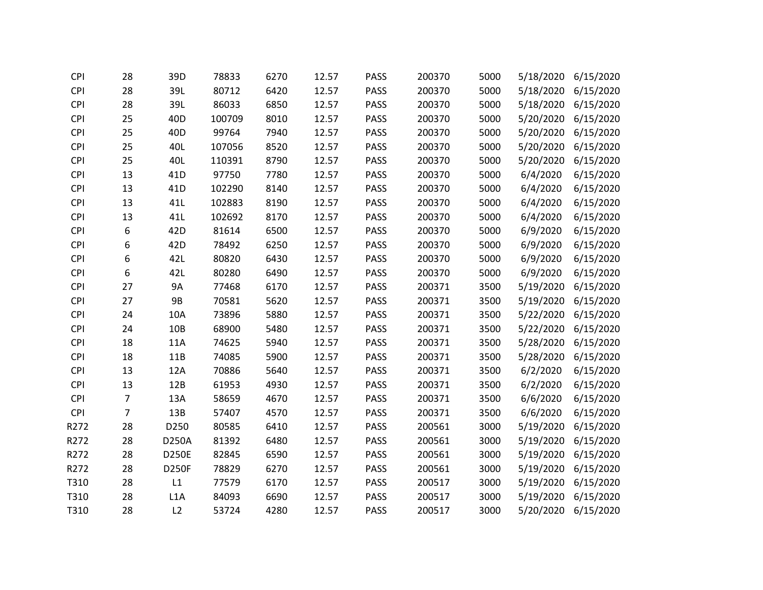| <b>CPI</b> | 28             | 39D             | 78833  | 6270 | 12.57 | <b>PASS</b> | 200370 | 5000 | 5/18/2020 | 6/15/2020 |
|------------|----------------|-----------------|--------|------|-------|-------------|--------|------|-----------|-----------|
| <b>CPI</b> | 28             | 39L             | 80712  | 6420 | 12.57 | <b>PASS</b> | 200370 | 5000 | 5/18/2020 | 6/15/2020 |
| <b>CPI</b> | 28             | 39L             | 86033  | 6850 | 12.57 | <b>PASS</b> | 200370 | 5000 | 5/18/2020 | 6/15/2020 |
| <b>CPI</b> | 25             | 40 <sub>D</sub> | 100709 | 8010 | 12.57 | <b>PASS</b> | 200370 | 5000 | 5/20/2020 | 6/15/2020 |
| <b>CPI</b> | 25             | 40 <sub>D</sub> | 99764  | 7940 | 12.57 | <b>PASS</b> | 200370 | 5000 | 5/20/2020 | 6/15/2020 |
| <b>CPI</b> | 25             | 40L             | 107056 | 8520 | 12.57 | <b>PASS</b> | 200370 | 5000 | 5/20/2020 | 6/15/2020 |
| <b>CPI</b> | 25             | 40L             | 110391 | 8790 | 12.57 | <b>PASS</b> | 200370 | 5000 | 5/20/2020 | 6/15/2020 |
| <b>CPI</b> | 13             | 41 <sub>D</sub> | 97750  | 7780 | 12.57 | <b>PASS</b> | 200370 | 5000 | 6/4/2020  | 6/15/2020 |
| <b>CPI</b> | 13             | 41 <sub>D</sub> | 102290 | 8140 | 12.57 | <b>PASS</b> | 200370 | 5000 | 6/4/2020  | 6/15/2020 |
| <b>CPI</b> | 13             | 41L             | 102883 | 8190 | 12.57 | <b>PASS</b> | 200370 | 5000 | 6/4/2020  | 6/15/2020 |
| <b>CPI</b> | 13             | 41L             | 102692 | 8170 | 12.57 | <b>PASS</b> | 200370 | 5000 | 6/4/2020  | 6/15/2020 |
| <b>CPI</b> | 6              | 42D             | 81614  | 6500 | 12.57 | <b>PASS</b> | 200370 | 5000 | 6/9/2020  | 6/15/2020 |
| <b>CPI</b> | 6              | 42D             | 78492  | 6250 | 12.57 | <b>PASS</b> | 200370 | 5000 | 6/9/2020  | 6/15/2020 |
| <b>CPI</b> | 6              | 42L             | 80820  | 6430 | 12.57 | <b>PASS</b> | 200370 | 5000 | 6/9/2020  | 6/15/2020 |
| <b>CPI</b> | 6              | 42L             | 80280  | 6490 | 12.57 | <b>PASS</b> | 200370 | 5000 | 6/9/2020  | 6/15/2020 |
| <b>CPI</b> | 27             | <b>9A</b>       | 77468  | 6170 | 12.57 | <b>PASS</b> | 200371 | 3500 | 5/19/2020 | 6/15/2020 |
| <b>CPI</b> | 27             | <b>9B</b>       | 70581  | 5620 | 12.57 | <b>PASS</b> | 200371 | 3500 | 5/19/2020 | 6/15/2020 |
| <b>CPI</b> | 24             | 10A             | 73896  | 5880 | 12.57 | <b>PASS</b> | 200371 | 3500 | 5/22/2020 | 6/15/2020 |
| <b>CPI</b> | 24             | 10B             | 68900  | 5480 | 12.57 | <b>PASS</b> | 200371 | 3500 | 5/22/2020 | 6/15/2020 |
| <b>CPI</b> | 18             | 11A             | 74625  | 5940 | 12.57 | <b>PASS</b> | 200371 | 3500 | 5/28/2020 | 6/15/2020 |
| <b>CPI</b> | 18             | 11B             | 74085  | 5900 | 12.57 | <b>PASS</b> | 200371 | 3500 | 5/28/2020 | 6/15/2020 |
| <b>CPI</b> | 13             | 12A             | 70886  | 5640 | 12.57 | <b>PASS</b> | 200371 | 3500 | 6/2/2020  | 6/15/2020 |
| <b>CPI</b> | 13             | 12B             | 61953  | 4930 | 12.57 | <b>PASS</b> | 200371 | 3500 | 6/2/2020  | 6/15/2020 |
| <b>CPI</b> | $\overline{7}$ | 13A             | 58659  | 4670 | 12.57 | <b>PASS</b> | 200371 | 3500 | 6/6/2020  | 6/15/2020 |
| <b>CPI</b> | $\overline{7}$ | 13B             | 57407  | 4570 | 12.57 | <b>PASS</b> | 200371 | 3500 | 6/6/2020  | 6/15/2020 |
| R272       | 28             | D250            | 80585  | 6410 | 12.57 | <b>PASS</b> | 200561 | 3000 | 5/19/2020 | 6/15/2020 |
| R272       | 28             | D250A           | 81392  | 6480 | 12.57 | <b>PASS</b> | 200561 | 3000 | 5/19/2020 | 6/15/2020 |
| R272       | 28             | <b>D250E</b>    | 82845  | 6590 | 12.57 | <b>PASS</b> | 200561 | 3000 | 5/19/2020 | 6/15/2020 |
| R272       | 28             | <b>D250F</b>    | 78829  | 6270 | 12.57 | <b>PASS</b> | 200561 | 3000 | 5/19/2020 | 6/15/2020 |
| T310       | 28             | L1              | 77579  | 6170 | 12.57 | <b>PASS</b> | 200517 | 3000 | 5/19/2020 | 6/15/2020 |
| T310       | 28             | L1A             | 84093  | 6690 | 12.57 | <b>PASS</b> | 200517 | 3000 | 5/19/2020 | 6/15/2020 |
| T310       | 28             | L2              | 53724  | 4280 | 12.57 | <b>PASS</b> | 200517 | 3000 | 5/20/2020 | 6/15/2020 |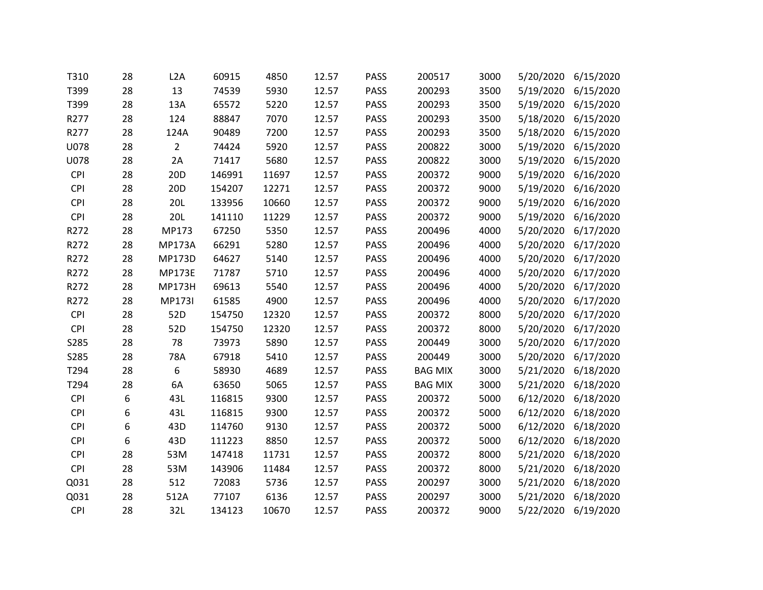| T310       | 28 | L2A             | 60915  | 4850  | 12.57 | <b>PASS</b> | 200517         | 3000 | 5/20/2020 | 6/15/2020 |
|------------|----|-----------------|--------|-------|-------|-------------|----------------|------|-----------|-----------|
| T399       | 28 | 13              | 74539  | 5930  | 12.57 | <b>PASS</b> | 200293         | 3500 | 5/19/2020 | 6/15/2020 |
| T399       | 28 | 13A             | 65572  | 5220  | 12.57 | <b>PASS</b> | 200293         | 3500 | 5/19/2020 | 6/15/2020 |
| R277       | 28 | 124             | 88847  | 7070  | 12.57 | <b>PASS</b> | 200293         | 3500 | 5/18/2020 | 6/15/2020 |
| R277       | 28 | 124A            | 90489  | 7200  | 12.57 | <b>PASS</b> | 200293         | 3500 | 5/18/2020 | 6/15/2020 |
| U078       | 28 | $\overline{2}$  | 74424  | 5920  | 12.57 | <b>PASS</b> | 200822         | 3000 | 5/19/2020 | 6/15/2020 |
| U078       | 28 | 2A              | 71417  | 5680  | 12.57 | <b>PASS</b> | 200822         | 3000 | 5/19/2020 | 6/15/2020 |
| <b>CPI</b> | 28 | 20 <sub>D</sub> | 146991 | 11697 | 12.57 | <b>PASS</b> | 200372         | 9000 | 5/19/2020 | 6/16/2020 |
| <b>CPI</b> | 28 | 20 <sub>D</sub> | 154207 | 12271 | 12.57 | <b>PASS</b> | 200372         | 9000 | 5/19/2020 | 6/16/2020 |
| <b>CPI</b> | 28 | <b>20L</b>      | 133956 | 10660 | 12.57 | <b>PASS</b> | 200372         | 9000 | 5/19/2020 | 6/16/2020 |
| CPI        | 28 | 20L             | 141110 | 11229 | 12.57 | <b>PASS</b> | 200372         | 9000 | 5/19/2020 | 6/16/2020 |
| R272       | 28 | MP173           | 67250  | 5350  | 12.57 | <b>PASS</b> | 200496         | 4000 | 5/20/2020 | 6/17/2020 |
| R272       | 28 | <b>MP173A</b>   | 66291  | 5280  | 12.57 | <b>PASS</b> | 200496         | 4000 | 5/20/2020 | 6/17/2020 |
| R272       | 28 | <b>MP173D</b>   | 64627  | 5140  | 12.57 | <b>PASS</b> | 200496         | 4000 | 5/20/2020 | 6/17/2020 |
| R272       | 28 | <b>MP173E</b>   | 71787  | 5710  | 12.57 | <b>PASS</b> | 200496         | 4000 | 5/20/2020 | 6/17/2020 |
| R272       | 28 | <b>MP173H</b>   | 69613  | 5540  | 12.57 | <b>PASS</b> | 200496         | 4000 | 5/20/2020 | 6/17/2020 |
| R272       | 28 | <b>MP173I</b>   | 61585  | 4900  | 12.57 | <b>PASS</b> | 200496         | 4000 | 5/20/2020 | 6/17/2020 |
| <b>CPI</b> | 28 | 52D             | 154750 | 12320 | 12.57 | <b>PASS</b> | 200372         | 8000 | 5/20/2020 | 6/17/2020 |
| <b>CPI</b> | 28 | 52D             | 154750 | 12320 | 12.57 | <b>PASS</b> | 200372         | 8000 | 5/20/2020 | 6/17/2020 |
| S285       | 28 | 78              | 73973  | 5890  | 12.57 | <b>PASS</b> | 200449         | 3000 | 5/20/2020 | 6/17/2020 |
| S285       | 28 | 78A             | 67918  | 5410  | 12.57 | <b>PASS</b> | 200449         | 3000 | 5/20/2020 | 6/17/2020 |
| T294       | 28 | 6               | 58930  | 4689  | 12.57 | <b>PASS</b> | <b>BAG MIX</b> | 3000 | 5/21/2020 | 6/18/2020 |
| T294       | 28 | 6A              | 63650  | 5065  | 12.57 | <b>PASS</b> | <b>BAG MIX</b> | 3000 | 5/21/2020 | 6/18/2020 |
| <b>CPI</b> | 6  | 43L             | 116815 | 9300  | 12.57 | <b>PASS</b> | 200372         | 5000 | 6/12/2020 | 6/18/2020 |
| <b>CPI</b> | 6  | 43L             | 116815 | 9300  | 12.57 | <b>PASS</b> | 200372         | 5000 | 6/12/2020 | 6/18/2020 |
| CPI        | 6  | 43D             | 114760 | 9130  | 12.57 | <b>PASS</b> | 200372         | 5000 | 6/12/2020 | 6/18/2020 |
| <b>CPI</b> | 6  | 43D             | 111223 | 8850  | 12.57 | <b>PASS</b> | 200372         | 5000 | 6/12/2020 | 6/18/2020 |
| <b>CPI</b> | 28 | 53M             | 147418 | 11731 | 12.57 | <b>PASS</b> | 200372         | 8000 | 5/21/2020 | 6/18/2020 |
| <b>CPI</b> | 28 | 53M             | 143906 | 11484 | 12.57 | <b>PASS</b> | 200372         | 8000 | 5/21/2020 | 6/18/2020 |
| Q031       | 28 | 512             | 72083  | 5736  | 12.57 | <b>PASS</b> | 200297         | 3000 | 5/21/2020 | 6/18/2020 |
| Q031       | 28 | 512A            | 77107  | 6136  | 12.57 | <b>PASS</b> | 200297         | 3000 | 5/21/2020 | 6/18/2020 |
| <b>CPI</b> | 28 | 32L             | 134123 | 10670 | 12.57 | <b>PASS</b> | 200372         | 9000 | 5/22/2020 | 6/19/2020 |